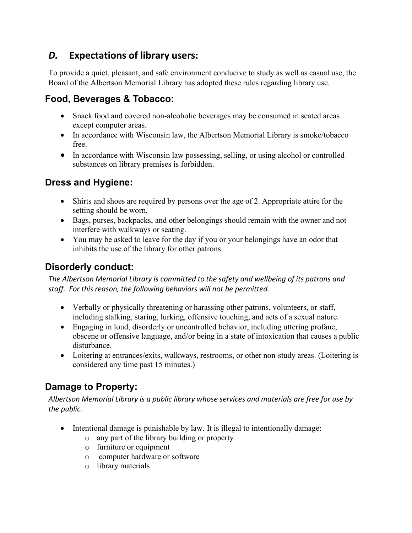# *D.* **Expectations of library users:**

To provide a quiet, pleasant, and safe environment conducive to study as well as casual use, the Board of the Albertson Memorial Library has adopted these rules regarding library use.

#### **Food, Beverages & Tobacco:**

- Snack food and covered non-alcoholic beverages may be consumed in seated areas except computer areas.
- In accordance with Wisconsin law, the Albertson Memorial Library is smoke/tobacco free.
- In accordance with Wisconsin law possessing, selling, or using alcohol or controlled substances on library premises is forbidden.

### **Dress and Hygiene:**

- Shirts and shoes are required by persons over the age of 2. Appropriate attire for the setting should be worn.
- Bags, purses, backpacks, and other belongings should remain with the owner and not interfere with walkways or seating.
- You may be asked to leave for the day if you or your belongings have an odor that inhibits the use of the library for other patrons.

#### **Disorderly conduct:**

*The Albertson Memorial Library is committed to the safety and wellbeing of its patrons and staff. For this reason, the following behaviors will not be permitted.*

- Verbally or physically threatening or harassing other patrons, volunteers, or staff, including stalking, staring, lurking, offensive touching, and acts of a sexual nature.
- Engaging in loud, disorderly or uncontrolled behavior, including uttering profane, obscene or offensive language, and/or being in a state of intoxication that causes a public disturbance.
- Loitering at entrances/exits, walkways, restrooms, or other non-study areas. (Loitering is considered any time past 15 minutes.)

### **Damage to Property:**

*Albertson Memorial Library is a public library whose services and materials are free for use by the public.*

- Intentional damage is punishable by law. It is illegal to intentionally damage:
	- o any part of the library building or property
	- o furniture or equipment
	- o computer hardware or software
	- o library materials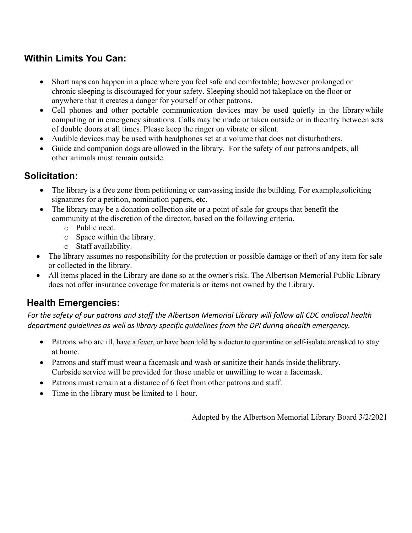# **Within Limits You Can:**

- Short naps can happen in a place where you feel safe and comfortable; however prolonged or chronic sleeping is discouraged for your safety. Sleeping should not takeplace on the floor or anywhere that it creates a danger for yourself or other patrons.
- Cell phones and other portable communication devices may be used quietly in the librarywhile computing or in emergency situations. Calls may be made or taken outside or in theentry between sets of double doors at all times. Please keep the ringer on vibrate or silent.
- Audible devices may be used with headphones set at a volume that does not disturbothers.
- Guide and companion dogs are allowed in the library. For the safety of our patrons andpets, all other animals must remain outside.

#### **Solicitation:**

- The library is a free zone from petitioning or canvassing inside the building. For example, soliciting signatures for a petition, nomination papers, etc.
- The library may be a donation collection site or a point of sale for groups that benefit the community at the discretion of the director, based on the following criteria.
	- o Public need.
	- o Space within the library.
	- o Staff availability.
- The library assumes no responsibility for the protection or possible damage or theft of any item for sale or collected in the library.
- All items placed in the Library are done so at the owner's risk. The Albertson Memorial Public Library does not offer insurance coverage for materials or items not owned by the Library.

### **Health Emergencies:**

For the safety of our patrons and staff the Albertson Memorial Library will follow all CDC andlocal health *department guidelines as well as library specific guidelines from the DPI during ahealth emergency.*

- Patrons who are ill, have a fever, or have been told by a doctor to quarantine or self-isolate areasked to stay at home.
- Patrons and staff must wear a facemask and wash or sanitize their hands inside thelibrary. Curbside service will be provided for those unable or unwilling to wear a facemask.
- Patrons must remain at a distance of 6 feet from other patrons and staff.
- Time in the library must be limited to 1 hour.

Adopted by the Albertson Memorial Library Board 3/2/2021